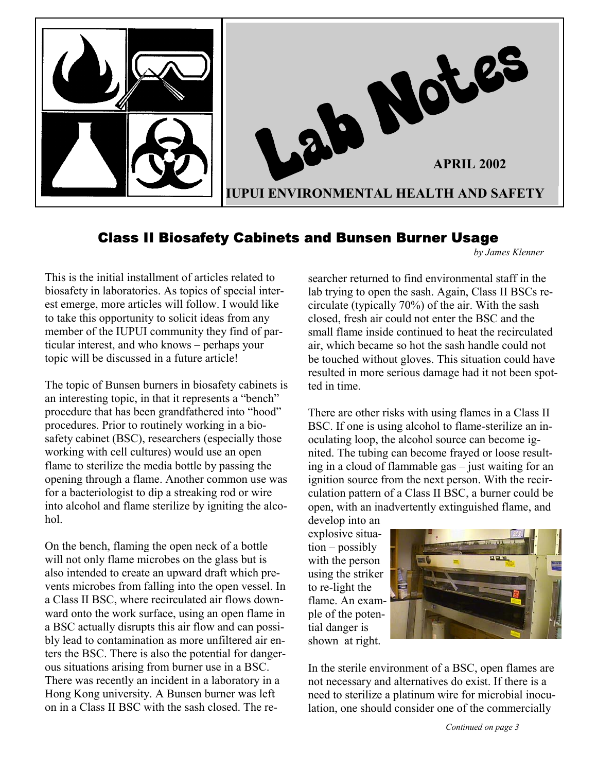

### Class II Biosafety Cabinets and Bunsen Burner Usage

*by James Klenner*

This is the initial installment of articles related to biosafety in laboratories. As topics of special interest emerge, more articles will follow. I would like to take this opportunity to solicit ideas from any member of the IUPUI community they find of particular interest, and who knows – perhaps your topic will be discussed in a future article!

The topic of Bunsen burners in biosafety cabinets is an interesting topic, in that it represents a "bench" procedure that has been grandfathered into "hood" procedures. Prior to routinely working in a biosafety cabinet (BSC), researchers (especially those working with cell cultures) would use an open flame to sterilize the media bottle by passing the opening through a flame. Another common use was for a bacteriologist to dip a streaking rod or wire into alcohol and flame sterilize by igniting the alcohol.

On the bench, flaming the open neck of a bottle will not only flame microbes on the glass but is also intended to create an upward draft which prevents microbes from falling into the open vessel. In a Class II BSC, where recirculated air flows downward onto the work surface, using an open flame in a BSC actually disrupts this air flow and can possibly lead to contamination as more unfiltered air enters the BSC. There is also the potential for dangerous situations arising from burner use in a BSC. There was recently an incident in a laboratory in a Hong Kong university. A Bunsen burner was left on in a Class II BSC with the sash closed. The researcher returned to find environmental staff in the lab trying to open the sash. Again, Class II BSCs recirculate (typically 70%) of the air. With the sash closed, fresh air could not enter the BSC and the small flame inside continued to heat the recirculated air, which became so hot the sash handle could not be touched without gloves. This situation could have resulted in more serious damage had it not been spotted in time.

There are other risks with using flames in a Class II BSC. If one is using alcohol to flame-sterilize an inoculating loop, the alcohol source can become ignited. The tubing can become frayed or loose resulting in a cloud of flammable gas – just waiting for an ignition source from the next person. With the recirculation pattern of a Class II BSC, a burner could be open, with an inadvertently extinguished flame, and

develop into an explosive situation – possibly with the person using the striker to re-light the flame. An example of the potential danger is shown at right.



In the sterile environment of a BSC, open flames are not necessary and alternatives do exist. If there is a need to sterilize a platinum wire for microbial inoculation, one should consider one of the commercially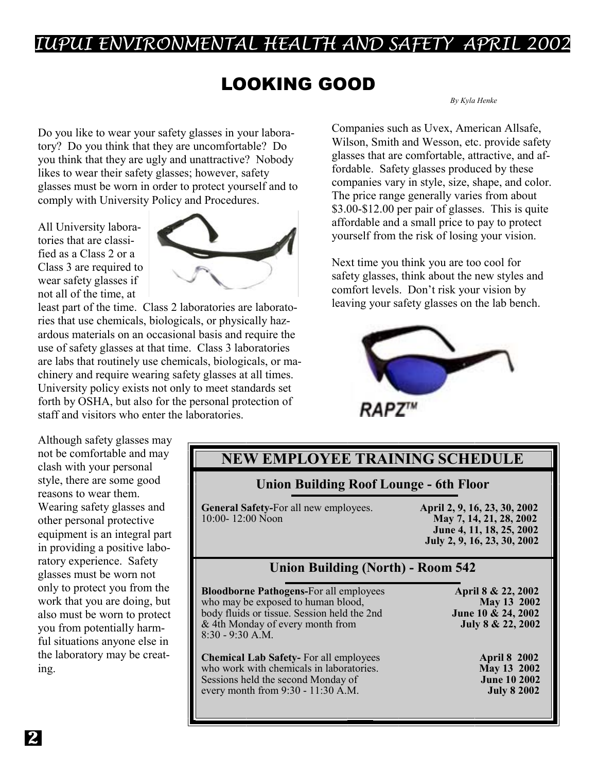## UPUI ENVIRONMENTAL HEALTH AND SAFETY APRIL 2002

# LOOKING GOOD *By Kyla Henke*

Do you like to wear your safety glasses in your laboratory? Do you think that they are uncomfortable? Do you think that they are ugly and unattractive? Nobody likes to wear their safety glasses; however, safety glasses must be worn in order to protect yourself and to comply with University Policy and Procedures.

All University laboratories that are classified as a Class 2 or a Class 3 are required to wear safety glasses if not all of the time, at



least part of the time. Class 2 laboratories are laboratories that use chemicals, biologicals, or physically hazardous materials on an occasional basis and require the use of safety glasses at that time. Class 3 laboratories are labs that routinely use chemicals, biologicals, or machinery and require wearing safety glasses at all times. University policy exists not only to meet standards set forth by OSHA, but also for the personal protection of staff and visitors who enter the laboratories.

Companies such as Uvex, American Allsafe, Wilson, Smith and Wesson, etc. provide safety glasses that are comfortable, attractive, and affordable. Safety glasses produced by these companies vary in style, size, shape, and color. The price range generally varies from about \$3.00-\$12.00 per pair of glasses. This is quite affordable and a small price to pay to protect yourself from the risk of losing your vision.

Next time you think you are too cool for safety glasses, think about the new styles and comfort levels. Don't risk your vision by leaving your safety glasses on the lab bench.



**RAPZ'"** 

Although safety glasses may not be comfortable and may clash with your personal style, there are some good reasons to wear them. Wearing safety glasses and other personal protective equipment is an integral part in providing a positive laboratory experience. Safety glasses must be worn not only to protect you from the work that you are doing, but also must be worn to protect you from potentially harmful situations anyone else in the laboratory may be creating.

### **NEW EMPLOYEE TRAINING SCHEDULE**

### **Union Building Roof Lounge - 6th Floor**

**General Safety-For all new employees. April 2, 9, 16, 23, 30, 2002** <br>10:00-12:00 Noon **May 7, 14, 21, 28, 2002** 

10:00- 12:00 Noon **May 7, 14, 21, 28, 2002 June 4, 11, 18, 25, 2002 July 2, 9, 16, 23, 30, 2002** 

### **Union Building (North) - Room 542**

**Bloodborne Pathogens-For all employees April 8 & 22, 2002** who may be exposed to human blood, **May 13 2002** who may be exposed to human blood, body fluids or tissue. Session held the 2nd **June 10 & 24, 2002** & 4th Monday of every month from **July 8 & 22, 2002** 8:30 - 9:30 A.M.

**Chemical Lab Safety-** For all employees **April 8 2002** who work with chemicals in laboratories. **May 13 2002** Sessions held the second Monday of **June 10 2002**<br>every month from 9:30 - 11:30 A.M. **July 8 2002** every month from 9:30 - 11:30 A.M.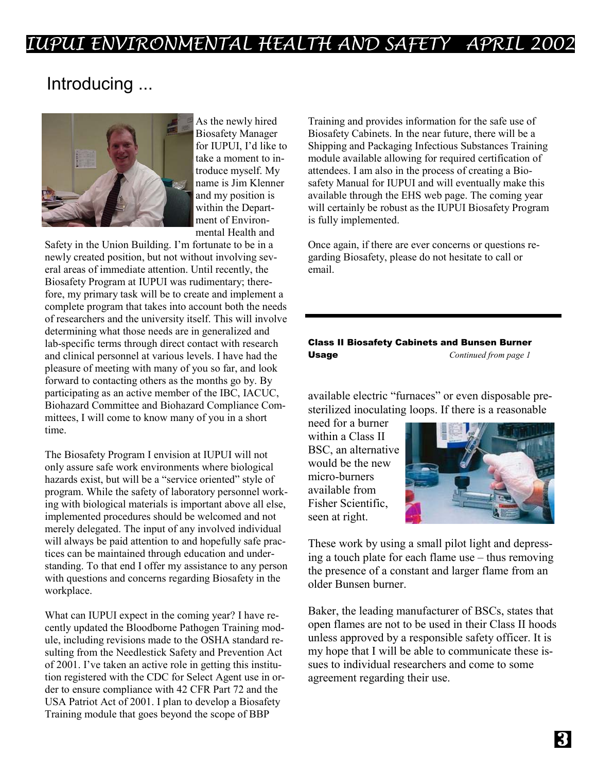# UPUI ENVIRONMENTAL HEALTH AND SAFETY APRIL 2002

### Introducing ...



As the newly hired Biosafety Manager for IUPUI, I'd like to take a moment to introduce myself. My name is Jim Klenner and my position is within the Department of Environmental Health and

Safety in the Union Building. I'm fortunate to be in a newly created position, but not without involving several areas of immediate attention. Until recently, the Biosafety Program at IUPUI was rudimentary; therefore, my primary task will be to create and implement a complete program that takes into account both the needs of researchers and the university itself. This will involve determining what those needs are in generalized and lab-specific terms through direct contact with research and clinical personnel at various levels. I have had the pleasure of meeting with many of you so far, and look forward to contacting others as the months go by. By participating as an active member of the IBC, IACUC, Biohazard Committee and Biohazard Compliance Committees, I will come to know many of you in a short time.

The Biosafety Program I envision at IUPUI will not only assure safe work environments where biological hazards exist, but will be a "service oriented" style of program. While the safety of laboratory personnel working with biological materials is important above all else, implemented procedures should be welcomed and not merely delegated. The input of any involved individual will always be paid attention to and hopefully safe practices can be maintained through education and understanding. To that end I offer my assistance to any person with questions and concerns regarding Biosafety in the workplace.

What can IUPUI expect in the coming year? I have recently updated the Bloodborne Pathogen Training module, including revisions made to the OSHA standard resulting from the Needlestick Safety and Prevention Act of 2001. I've taken an active role in getting this institution registered with the CDC for Select Agent use in order to ensure compliance with 42 CFR Part 72 and the USA Patriot Act of 2001. I plan to develop a Biosafety Training module that goes beyond the scope of BBP

Training and provides information for the safe use of Biosafety Cabinets. In the near future, there will be a Shipping and Packaging Infectious Substances Training module available allowing for required certification of attendees. I am also in the process of creating a Biosafety Manual for IUPUI and will eventually make this available through the EHS web page. The coming year will certainly be robust as the IUPUI Biosafety Program is fully implemented.

Once again, if there are ever concerns or questions regarding Biosafety, please do not hesitate to call or email.

#### Class II Biosafety Cabinets and Bunsen Burner Usage *Continued from page 1*

available electric "furnaces" or even disposable presterilized inoculating loops. If there is a reasonable

need for a burner within a Class II BSC, an alternative would be the new micro-burners available from Fisher Scientific, seen at right.



These work by using a small pilot light and depressing a touch plate for each flame use – thus removing the presence of a constant and larger flame from an older Bunsen burner.

Baker, the leading manufacturer of BSCs, states that open flames are not to be used in their Class II hoods unless approved by a responsible safety officer. It is my hope that I will be able to communicate these issues to individual researchers and come to some agreement regarding their use.